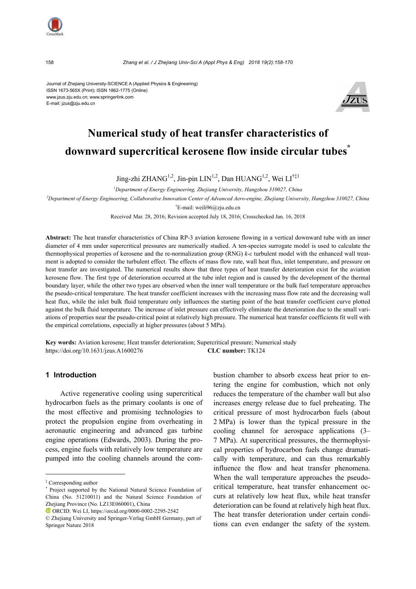

158 *Zhang et al. / J Zhejiang Univ-Sci A (Appl Phys & Eng) 2018 19(2):158-170*

Journal of Zhejiang University-SCIENCE A (Applied Physics & Engineering) ISSN 1673-565X (Print); ISSN 1862-1775 (Online) www.jzus.zju.edu.cn; www.springerlink.com E-mail: jzus@zju.edu.cn



# **Numerical study of heat transfer characteristics of downward supercritical kerosene flow inside circular tubes\***

Jing-zhi ZHANG<sup>1,2</sup>, Jin-pin LIN<sup>1,2</sup>, Dan HUANG<sup>1,2</sup>, Wei LI<sup>†‡1</sup>

*1 Department of Energy Engineering, Zhejiang University, Hangzhou 310027, China*

*2 Department of Energy Engineering, Collaborative Innovation Center of Advanced Aero-engine, Zhejiang University, Hangzhou 310027, China*

† E-mail: weili96@zju.edu.cn

Received Mar. 28, 2016; Revision accepted July 18, 2016; Crosschecked Jan. 16, 2018

**Abstract:** The heat transfer characteristics of China RP-3 aviation kerosene flowing in a vertical downward tube with an inner diameter of 4 mm under supercritical pressures are numerically studied. A ten-species surrogate model is used to calculate the thermophysical properties of kerosene and the re-normalization group (RNG) *k*-*ε* turbulent model with the enhanced wall treatment is adopted to consider the turbulent effect. The effects of mass flow rate, wall heat flux, inlet temperature, and pressure on heat transfer are investigated. The numerical results show that three types of heat transfer deterioration exist for the aviation kerosene flow. The first type of deterioration occurred at the tube inlet region and is caused by the development of the thermal boundary layer, while the other two types are observed when the inner wall temperature or the bulk fuel temperature approaches the pseudo-critical temperature. The heat transfer coefficient increases with the increasing mass flow rate and the decreasing wall heat flux, while the inlet bulk fluid temperature only influences the starting point of the heat transfer coefficient curve plotted against the bulk fluid temperature. The increase of inlet pressure can effectively eliminate the deterioration due to the small variations of properties near the pseudo-critical point at relatively high pressure. The numerical heat transfer coefficients fit well with the empirical correlations, especially at higher pressures (about 5 MPa).

**Key words:** Aviation kerosene; Heat transfer deterioration; Supercritical pressure; Numerical study https://doi.org/10.1631/jzus.A1600276 **CLC number:** TK124

## **1 Introduction**

Active regenerative cooling using supercritical hydrocarbon fuels as the primary coolants is one of the most effective and promising technologies to protect the propulsion engine from overheating in aeronautic engineering and advanced gas turbine engine operations (Edwards, 2003). During the process, engine fuels with relatively low temperature are pumped into the cooling channels around the combustion chamber to absorb excess heat prior to entering the engine for combustion, which not only reduces the temperature of the chamber wall but also increases energy release due to fuel preheating. The critical pressure of most hydrocarbon fuels (about 2 MPa) is lower than the typical pressure in the cooling channel for aerospace applications (3– 7 MPa). At supercritical pressures, the thermophysical properties of hydrocarbon fuels change dramatically with temperature, and can thus remarkably influence the flow and heat transfer phenomena. When the wall temperature approaches the pseudocritical temperature, heat transfer enhancement occurs at relatively low heat flux, while heat transfer deterioration can be found at relatively high heat flux. The heat transfer deterioration under certain conditions can even endanger the safety of the system.

<sup>‡</sup> Corresponding author

<sup>\*</sup> Project supported by the National Natural Science Foundation of China (No. 51210011) and the Natural Science Foundation of Zhejiang Province (No. LZ13E060001), China

ORCID: Wei LI, https://orcid.org/0000-0002-2295-2542

<sup>©</sup> Zhejiang University and Springer-Verlag GmbH Germany, part of Springer Nature 2018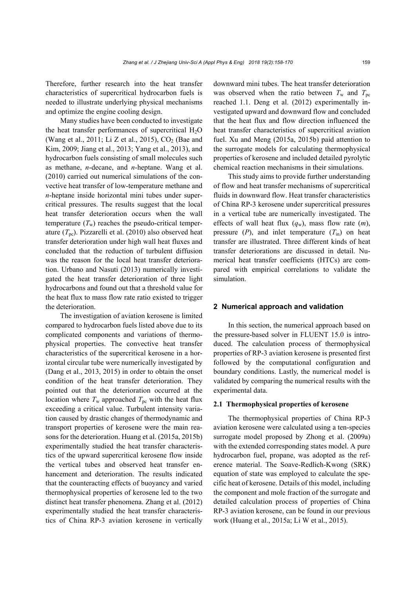Therefore, further research into the heat transfer characteristics of supercritical hydrocarbon fuels is needed to illustrate underlying physical mechanisms and optimize the engine cooling design.

Many studies have been conducted to investigate the heat transfer performances of supercritical  $H_2O$ (Wang et al., 2011; Li Z et al., 2015),  $CO<sub>2</sub>$  (Bae and Kim, 2009; Jiang et al., 2013; Yang et al., 2013), and hydrocarbon fuels consisting of small molecules such as methane, *n*-decane, and *n*-heptane. Wang et al. (2010) carried out numerical simulations of the convective heat transfer of low-temperature methane and *n*-heptane inside horizontal mini tubes under supercritical pressures. The results suggest that the local heat transfer deterioration occurs when the wall temperature  $(T_w)$  reaches the pseudo-critical temperature  $(T_{\text{pc}})$ . Pizzarelli et al. (2010) also observed heat transfer deterioration under high wall heat fluxes and concluded that the reduction of turbulent diffusion was the reason for the local heat transfer deterioration. Urbano and Nasuti (2013) numerically investigated the heat transfer deterioration of three light hydrocarbons and found out that a threshold value for the heat flux to mass flow rate ratio existed to trigger the deterioration.

The investigation of aviation kerosene is limited compared to hydrocarbon fuels listed above due to its complicated components and variations of thermophysical properties. The convective heat transfer characteristics of the supercritical kerosene in a horizontal circular tube were numerically investigated by (Dang et al., 2013, 2015) in order to obtain the onset condition of the heat transfer deterioration. They pointed out that the deterioration occurred at the location where  $T_w$  approached  $T_{pc}$  with the heat flux exceeding a critical value. Turbulent intensity variation caused by drastic changes of thermodynamic and transport properties of kerosene were the main reasons for the deterioration. Huang et al. (2015a, 2015b) experimentally studied the heat transfer characteristics of the upward supercritical kerosene flow inside the vertical tubes and observed heat transfer enhancement and deterioration. The results indicated that the counteracting effects of buoyancy and varied thermophysical properties of kerosene led to the two distinct heat transfer phenomena. Zhang et al. (2012) experimentally studied the heat transfer characteristics of China RP-3 aviation kerosene in vertically downward mini tubes. The heat transfer deterioration was observed when the ratio between  $T_w$  and  $T_{pc}$ reached 1.1. Deng et al. (2012) experimentally investigated upward and downward flow and concluded that the heat flux and flow direction influenced the heat transfer characteristics of supercritical aviation fuel. Xu and Meng (2015a, 2015b) paid attention to the surrogate models for calculating thermophysical properties of kerosene and included detailed pyrolytic chemical reaction mechanisms in their simulations.

This study aims to provide further understanding of flow and heat transfer mechanisms of supercritical fluids in downward flow. Heat transfer characteristics of China RP-3 kerosene under supercritical pressures in a vertical tube are numerically investigated. The effects of wall heat flux  $(q_w)$ , mass flow rate  $(m)$ , pressure  $(P)$ , and inlet temperature  $(T_{in})$  on heat transfer are illustrated. Three different kinds of heat transfer deteriorations are discussed in detail. Numerical heat transfer coefficients (HTCs) are compared with empirical correlations to validate the simulation.

#### **2 Numerical approach and validation**

In this section, the numerical approach based on the pressure-based solver in FLUENT 15.0 is introduced. The calculation process of thermophysical properties of RP-3 aviation kerosene is presented first followed by the computational configuration and boundary conditions. Lastly, the numerical model is validated by comparing the numerical results with the experimental data.

#### **2.1 Thermophysical properties of kerosene**

The thermophysical properties of China RP-3 aviation kerosene were calculated using a ten-species surrogate model proposed by Zhong et al. (2009a) with the extended corresponding states model. A pure hydrocarbon fuel, propane, was adopted as the reference material. The Soave-Redlich-Kwong (SRK) equation of state was employed to calculate the specific heat of kerosene. Details of this model, including the component and mole fraction of the surrogate and detailed calculation process of properties of China RP-3 aviation kerosene, can be found in our previous work (Huang et al., 2015a; Li W et al., 2015).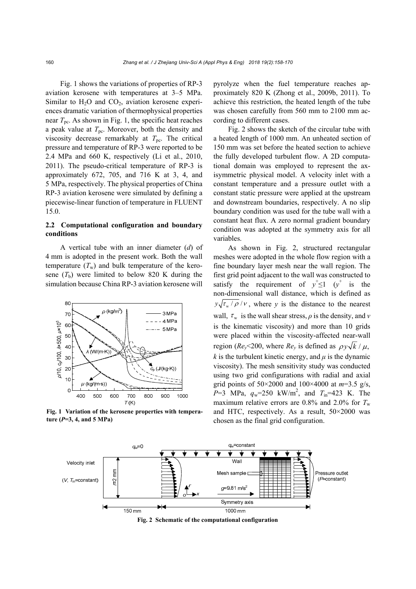Fig. 1 shows the variations of properties of RP-3 aviation kerosene with temperatures at 3–5 MPa. Similar to  $H_2O$  and  $CO_2$ , aviation kerosene experiences dramatic variation of thermophysical properties near  $T_{\text{pc}}$ . As shown in Fig. 1, the specific heat reaches a peak value at  $T_{\text{pc}}$ . Moreover, both the density and viscosity decrease remarkably at  $T_{\text{pc}}$ . The critical pressure and temperature of RP-3 were reported to be 2.4 MPa and 660 K, respectively (Li et al., 2010, 2011). The pseudo-critical temperature of RP-3 is approximately 672, 705, and 716 K at 3, 4, and 5 MPa, respectively. The physical properties of China RP-3 aviation kerosene were simulated by defining a piecewise-linear function of temperature in FLUENT 15.0.

## **2.2 Computational configuration and boundary conditions**

A vertical tube with an inner diameter (*d*) of 4 mm is adopted in the present work. Both the wall temperature  $(T_w)$  and bulk temperature of the kerosene  $(T_b)$  were limited to below 820 K during the simulation because China RP-3 aviation kerosene will



**Fig. 1 Variation of the kerosene properties with temperature (***P***=3, 4, and 5 MPa)**

pyrolyze when the fuel temperature reaches approximately 820 K (Zhong et al., 2009b, 2011). To achieve this restriction, the heated length of the tube was chosen carefully from 560 mm to 2100 mm according to different cases.

Fig. 2 shows the sketch of the circular tube with a heated length of 1000 mm. An unheated section of 150 mm was set before the heated section to achieve the fully developed turbulent flow. A 2D computational domain was employed to represent the axisymmetric physical model. A velocity inlet with a constant temperature and a pressure outlet with a constant static pressure were applied at the upstream and downstream boundaries, respectively. A no slip boundary condition was used for the tube wall with a constant heat flux. A zero normal gradient boundary condition was adopted at the symmetry axis for all variables.

As shown in Fig. 2, structured rectangular meshes were adopted in the whole flow region with a fine boundary layer mesh near the wall region. The first grid point adjacent to the wall was constructed to satisfy the requirement of  $y^+ \leq 1$  ( $y^+$  is the non-dimensional wall distance, which is defined as  $y\sqrt{\tau_w/\rho}/v$ , where *y* is the distance to the nearest wall,  $\tau_w$  is the wall shear stress,  $\rho$  is the density, and *v* is the kinematic viscosity) and more than 10 grids were placed within the viscosity-affected near-wall region ( $Re_v$ <200, where  $Re_v$  is defined as  $\rho v \sqrt{k}/\mu$ , *k* is the turbulent kinetic energy, and  $\mu$  is the dynamic viscosity). The mesh sensitivity study was conducted using two grid configurations with radial and axial grid points of 50×2000 and 100×4000 at *m*=3.5 g/s,  $P=3$  MPa,  $q_w=250$  kW/m<sup>2</sup>, and  $T_{in}=423$  K. The maximum relative errors are  $0.8\%$  and  $2.0\%$  for  $T_w$ and HTC, respectively. As a result, 50×2000 was chosen as the final grid configuration.



**Fig. 2 Schematic of the computational configuration**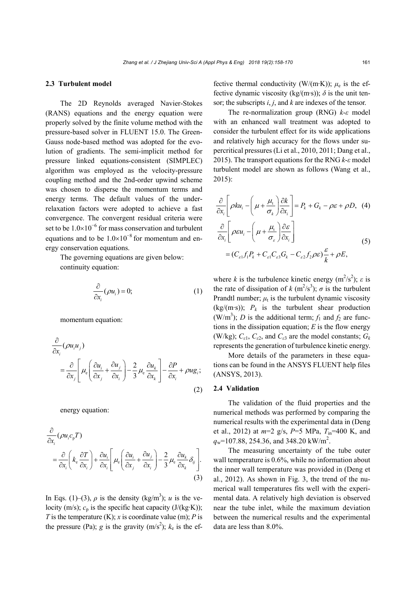#### **2.3 Turbulent model**

The 2D Reynolds averaged Navier-Stokes (RANS) equations and the energy equation were properly solved by the finite volume method with the pressure-based solver in FLUENT 15.0. The Green-Gauss node-based method was adopted for the evolution of gradients. The semi-implicit method for pressure linked equations-consistent (SIMPLEC) algorithm was employed as the velocity-pressure coupling method and the 2nd-order upwind scheme was chosen to disperse the momentum terms and energy terms. The default values of the underrelaxation factors were adopted to achieve a fast convergence. The convergent residual criteria were set to be  $1.0\times10^{-6}$  for mass conservation and turbulent equations and to be  $1.0\times10^{-8}$  for momentum and energy conservation equations.

The governing equations are given below: continuity equation:

$$
\frac{\partial}{\partial x_i}(\rho u_i) = 0; \tag{1}
$$

momentum equation:

$$
\frac{\partial}{\partial x_i} (\rho u_i u_j) = \frac{\partial}{\partial x_j} \left[ \mu_e \left( \frac{\partial u_i}{\partial x_j} + \frac{\partial u_j}{\partial x_i} \right) - \frac{2}{3} \mu_e \frac{\partial u_k}{\partial x_k} \right] - \frac{\partial P}{\partial x_i} + \rho u g_i; \tag{2}
$$

energy equation:

$$
\frac{\partial}{\partial x_i} (\rho u_i c_p T) \n= \frac{\partial}{\partial x_i} \left( k_e \frac{\partial T}{\partial x_i} \right) + \frac{\partial u_i}{\partial x_i} \left[ \mu_e \left( \frac{\partial u_i}{\partial x_j} + \frac{\partial u_j}{\partial x_i} \right) - \frac{2}{3} \mu_e \frac{\partial u_k}{\partial x_k} \delta_{ij} \right].
$$
\n(3)

In Eqs. (1)–(3),  $\rho$  is the density (kg/m<sup>3</sup>); *u* is the velocity (m/s);  $c_p$  is the specific heat capacity (J/(kg·K)); *T* is the temperature (K); *x* is coordinate value (m); *P* is the pressure (Pa); *g* is the gravity  $(m/s^2)$ ;  $k_e$  is the effective thermal conductivity (W/(m·K));  $\mu_e$  is the effective dynamic viscosity (kg/(m·s));  $\delta$  is the unit tensor; the subscripts *i*, *j*, and *k* are indexes of the tensor.

The re-normalization group (RNG) *k*-*ε* model with an enhanced wall treatment was adopted to consider the turbulent effect for its wide applications and relatively high accuracy for the flows under supercritical pressures (Li et al., 2010, 2011; Dang et al., 2015). The transport equations for the RNG *k*-*ε* model turbulent model are shown as follows (Wang et al., 2015):

$$
\frac{\partial}{\partial x_i} \left[ \rho k u_i - \left( \mu + \frac{\mu_i}{\sigma_k} \right) \frac{\partial k}{\partial x_i} \right] = P_k + G_k - \rho \varepsilon + \rho D, \quad (4)
$$
\n
$$
\frac{\partial}{\partial x_i} \left[ \rho \varepsilon u_i - \left( \mu + \frac{\mu_i}{\sigma_\varepsilon} \right) \frac{\partial \varepsilon}{\partial x_i} \right]
$$
\n
$$
= (C_{\varepsilon 1} f_1 P_k + C_{\varepsilon 1} C_{\varepsilon 3} G_k - C_{\varepsilon 2} f_2 \rho \varepsilon) \frac{\varepsilon}{k} + \rho E,
$$
\n(5)

where *k* is the turbulence kinetic energy  $(m^2/s^2)$ ; *ε* is the rate of dissipation of  $k$  (m<sup>2</sup>/s<sup>3</sup>);  $\sigma$  is the turbulent Prandtl number;  $\mu_t$  is the turbulent dynamic viscosity  $(kg/(m\cdot s))$ ;  $P_k$  is the turbulent shear production (W/m<sup>3</sup>); *D* is the additional term;  $f_1$  and  $f_2$  are functions in the dissipation equation; *E* is the flow energy (W/kg);  $C_{\varepsilon1}$ ,  $C_{\varepsilon2}$ , and  $C_{\varepsilon3}$  are the model constants;  $G_k$ represents the generation of turbulence kinetic energy.

More details of the parameters in these equations can be found in the ANSYS FLUENT help files (ANSYS, 2013).

#### **2.4 Validation**

The validation of the fluid properties and the numerical methods was performed by comparing the numerical results with the experimental data in (Deng et al., 2012) at *m*=2 g/s, *P*=5 MPa, *T*in=400 K, and  $q_w$ =107.88, 254.36, and 348.20 kW/m<sup>2</sup>.

The measuring uncertainty of the tube outer wall temperature is 0.6%, while no information about the inner wall temperature was provided in (Deng et al., 2012). As shown in Fig. 3, the trend of the numerical wall temperatures fits well with the experimental data. A relatively high deviation is observed near the tube inlet, while the maximum deviation between the numerical results and the experimental data are less than 8.0%.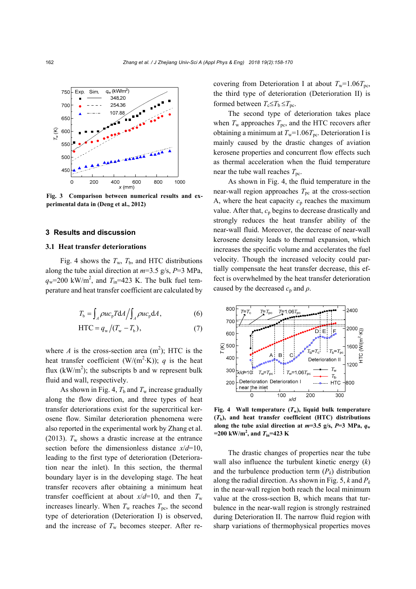

**Fig. 3 Comparison between numerical results and experimental data in (Deng et al., 2012)**

#### **3 Results and discussion**

#### **3.1 Heat transfer deteriorations**

Fig. 4 shows the  $T_w$ ,  $T_b$ , and HTC distributions along the tube axial direction at *m*=3.5 g/s, *P*=3 MPa,  $q_w$ =200 kW/m<sup>2</sup>, and  $T_{in}$ =423 K. The bulk fuel temperature and heat transfer coefficient are calculated by

$$
T_{\rm b} = \int_{A} \rho u c_{\rm p} T dA / \int_{A} \rho u c_{\rm p} dA, \qquad (6)
$$

$$
HTC = q_w / (T_w - T_b),
$$
 (7)

where *A* is the cross-section area  $(m^2)$ ; HTC is the heat transfer coefficient (W/(m<sup>2</sup>·K)); *q* is the heat flux  $(kW/m^2)$ ; the subscripts b and w represent bulk fluid and wall, respectively.

As shown in Fig. 4,  $T_b$  and  $T_w$  increase gradually along the flow direction, and three types of heat transfer deteriorations exist for the supercritical kerosene flow. Similar deterioration phenomena were also reported in the experimental work by Zhang et al. (2013).  $T_w$  shows a drastic increase at the entrance section before the dimensionless distance *x*/*d*=10, leading to the first type of deterioration (Deterioration near the inlet). In this section, the thermal boundary layer is in the developing stage. The heat transfer recovers after obtaining a minimum heat transfer coefficient at about  $x/d=10$ , and then  $T_w$ increases linearly. When  $T_w$  reaches  $T_{pc}$ , the second type of deterioration (Deterioration I) is observed, and the increase of  $T_w$  becomes steeper. After recovering from Deterioration I at about  $T_w=1.06T_{pc}$ , the third type of deterioration (Deterioration II) is formed between  $T_c \leq T_b \leq T_{pc}$ .

The second type of deterioration takes place when  $T_w$  approaches  $T_{\text{pc}}$ , and the HTC recovers after obtaining a minimum at  $T_w=1.06T_{pc}$ . Deterioration I is mainly caused by the drastic changes of aviation kerosene properties and concurrent flow effects such as thermal acceleration when the fluid temperature near the tube wall reaches  $T_{\text{pc}}$ .

As shown in Fig. 4, the fluid temperature in the near-wall region approaches  $T_{\text{pc}}$  at the cross-section A, where the heat capacity  $c_p$  reaches the maximum value. After that,  $c_p$  begins to decrease drastically and strongly reduces the heat transfer ability of the near-wall fluid. Moreover, the decrease of near-wall kerosene density leads to thermal expansion, which increases the specific volume and accelerates the fuel velocity. Though the increased velocity could partially compensate the heat transfer decrease, this effect is overwhelmed by the heat transfer deterioration caused by the decreased  $c_p$  and  $\rho$ .



Fig. 4 Wall temperature  $(T_w)$ , liquid bulk temperature  $(T<sub>b</sub>)$ , and heat transfer coefficient (HTC) distributions along the tube axial direction at  $m=3.5$  g/s,  $P=3$  MPa,  $q_w$  $=200 \text{ kW/m}^2$ , and  $T_{\text{in}}=423 \text{ K}$ 

The drastic changes of properties near the tube wall also influence the turbulent kinetic energy (*k*) and the turbulence production term  $(P_k)$  distribution along the radial direction. As shown in Fig. 5, *k* and *Pk* in the near-wall region both reach the local minimum value at the cross-section B, which means that turbulence in the near-wall region is strongly restrained during Deterioration II. The narrow fluid region with sharp variations of thermophysical properties moves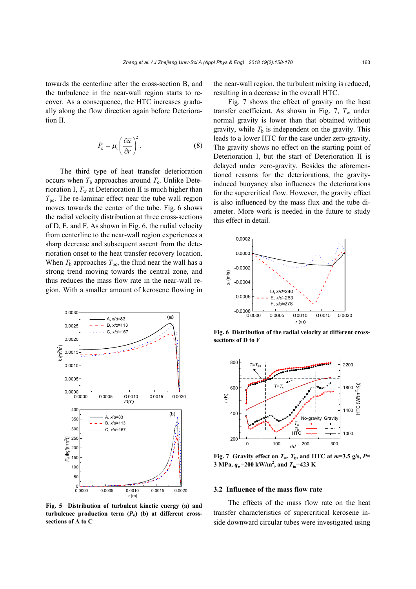towards the centerline after the cross-section B, and the turbulence in the near-wall region starts to recover. As a consequence, the HTC increases gradually along the flow direction again before Deterioration II.

$$
P_k = \mu_t \left(\frac{\partial \overline{u}}{\partial r}\right)^2.
$$
 (8)

The third type of heat transfer deterioration occurs when  $T<sub>b</sub>$  approaches around  $T<sub>c</sub>$ . Unlike Deterioration I,  $T_w$  at Deterioration II is much higher than  $T_{\text{pc}}$ . The re-laminar effect near the tube wall region moves towards the center of the tube. Fig. 6 shows the radial velocity distribution at three cross-sections of D, E, and F. As shown in Fig. 6, the radial velocity from centerline to the near-wall region experiences a sharp decrease and subsequent ascent from the deterioration onset to the heat transfer recovery location. When  $T<sub>b</sub>$  approaches  $T<sub>pc</sub>$ , the fluid near the wall has a strong trend moving towards the central zone, and thus reduces the mass flow rate in the near-wall region. With a smaller amount of kerosene flowing in



**Fig. 5 Distribution of turbulent kinetic energy (a) and turbulence production term**  $(P_k)$  **(b) at different crosssections of A to C** 

the near-wall region, the turbulent mixing is reduced, resulting in a decrease in the overall HTC.

Fig. 7 shows the effect of gravity on the heat transfer coefficient. As shown in Fig. 7,  $T_w$  under normal gravity is lower than that obtained without gravity, while  $T<sub>b</sub>$  is independent on the gravity. This leads to a lower HTC for the case under zero-gravity. The gravity shows no effect on the starting point of Deterioration I, but the start of Deterioration II is delayed under zero-gravity. Besides the aforementioned reasons for the deteriorations, the gravityinduced buoyancy also influences the deteriorations for the supercritical flow. However, the gravity effect is also influenced by the mass flux and the tube diameter. More work is needed in the future to study this effect in detail.



**Fig. 6 Distribution of the radial velocity at different crosssections of D to F**



**Fig. 7** Gravity effect on  $T_w$ ,  $T_b$ , and HTC at  $m=3.5$  g/s,  $P=$ **3 MPa,**  $q_w$ =200 kW/m<sup>2</sup>, and  $T_{in}$ =423 K

#### **3.2 Influence of the mass flow rate**

The effects of the mass flow rate on the heat transfer characteristics of supercritical kerosene inside downward circular tubes were investigated using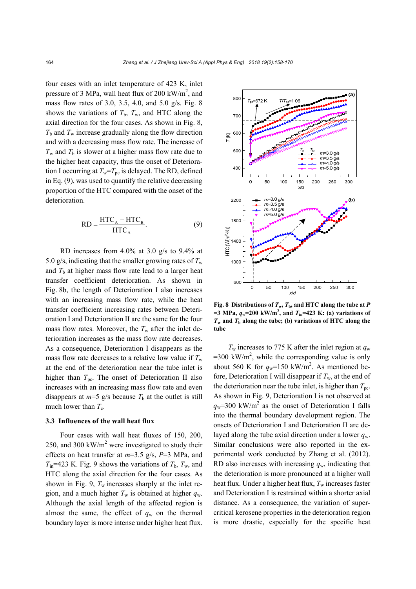four cases with an inlet temperature of 423 K, inlet pressure of 3 MPa, wall heat flux of 200 kW/ $m^2$ , and mass flow rates of 3.0, 3.5, 4.0, and 5.0 g/s. Fig. 8 shows the variations of  $T<sub>b</sub>$ ,  $T<sub>w</sub>$ , and HTC along the axial direction for the four cases. As shown in Fig. 8,  $T<sub>b</sub>$  and  $T<sub>w</sub>$  increase gradually along the flow direction and with a decreasing mass flow rate. The increase of  $T_w$  and  $T_b$  is slower at a higher mass flow rate due to the higher heat capacity, thus the onset of Deterioration I occurring at  $T_w = T_{pc}$  is delayed. The RD, defined in Eq. (9), was used to quantify the relative decreasing proportion of the HTC compared with the onset of the deterioration.

$$
RD = \frac{HTC_A - HTC_B}{HTC_A}.
$$
 (9)

RD increases from 4.0% at 3.0 g/s to 9.4% at 5.0 g/s, indicating that the smaller growing rates of  $T_w$ and  $T<sub>b</sub>$  at higher mass flow rate lead to a larger heat transfer coefficient deterioration. As shown in Fig. 8b, the length of Deterioration I also increases with an increasing mass flow rate, while the heat transfer coefficient increasing rates between Deterioration I and Deterioration II are the same for the four mass flow rates. Moreover, the  $T_w$  after the inlet deterioration increases as the mass flow rate decreases. As a consequence, Deterioration I disappears as the mass flow rate decreases to a relative low value if  $T_w$ at the end of the deterioration near the tube inlet is higher than  $T_{\text{pc}}$ . The onset of Deterioration II also increases with an increasing mass flow rate and even disappears at  $m=5$  g/s because  $T<sub>b</sub>$  at the outlet is still much lower than  $T_c$ .

#### **3.3 Influences of the wall heat flux**

Four cases with wall heat fluxes of 150, 200, 250, and 300 kW/ $m<sup>2</sup>$  were investigated to study their effects on heat transfer at *m*=3.5 g/s, *P*=3 MPa, and  $T_{in}$ =423 K. Fig. 9 shows the variations of  $T_{b}$ ,  $T_{w}$ , and HTC along the axial direction for the four cases. As shown in Fig. 9,  $T_w$  increases sharply at the inlet region, and a much higher  $T_w$  is obtained at higher  $q_w$ . Although the axial length of the affected region is almost the same, the effect of  $q_w$  on the thermal boundary layer is more intense under higher heat flux.



**Fig. 8 Distributions of**  $T_w$ **,**  $T_b$ **, and HTC along the tube at** *P*  $=$  3 MPa,  $q_w$ =200 kW/m<sup>2</sup>, and  $T_{in}$ =423 K: (a) variations of  $T_w$  and  $T_b$  along the tube; (b) variations of HTC along the **tube**

 $T_w$  increases to 775 K after the inlet region at  $q_w$  $=300 \text{ kW/m}^2$ , while the corresponding value is only about 560 K for  $q_w$ =150 kW/m<sup>2</sup>. As mentioned before, Deterioration I will disappear if  $T_w$ , at the end of the deterioration near the tube inlet, is higher than  $T_{\text{pc}}$ . As shown in Fig. 9, Deterioration I is not observed at  $q_w$ =300 kW/m<sup>2</sup> as the onset of Deterioration I falls into the thermal boundary development region. The onsets of Deterioration I and Deterioration II are delayed along the tube axial direction under a lower  $q_w$ . Similar conclusions were also reported in the experimental work conducted by Zhang et al. (2012). RD also increases with increasing  $q_w$ , indicating that the deterioration is more pronounced at a higher wall heat flux. Under a higher heat flux,  $T_w$  increases faster and Deterioration I is restrained within a shorter axial distance. As a consequence, the variation of supercritical kerosene properties in the deterioration region is more drastic, especially for the specific heat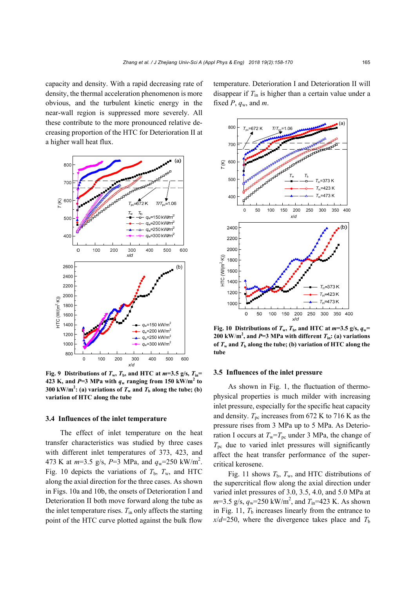capacity and density. With a rapid decreasing rate of density, the thermal acceleration phenomenon is more obvious, and the turbulent kinetic energy in the near-wall region is suppressed more severely. All these contribute to the more pronounced relative decreasing proportion of the HTC for Deterioration II at a higher wall heat flux.



**Fig. 9 Distributions of**  $T_w$ **,**  $T_b$ **, and HTC at**  $m=3.5$  **g/s,**  $T_{in}=$ **423 K, and P=3 MPa with**  $q_w$  **ranging from 150 kW/m<sup>2</sup> to 300 kW/m<sup>2</sup>: (a) variations of**  $T_w$  **and**  $T_b$  **along the tube; (b) variation of HTC along the tube** 

## **3.4 Influences of the inlet temperature**

The effect of inlet temperature on the heat transfer characteristics was studied by three cases with different inlet temperatures of 373, 423, and 473 K at  $m=3.5$  g/s,  $P=3$  MPa, and  $q_w=250$  kW/m<sup>2</sup>. Fig. 10 depicts the variations of  $T<sub>b</sub>$ ,  $T<sub>w</sub>$ , and HTC along the axial direction for the three cases. As shown in Figs. 10a and 10b, the onsets of Deterioration I and Deterioration II both move forward along the tube as the inlet temperature rises. *T*in only affects the starting point of the HTC curve plotted against the bulk flow

temperature. Deterioration I and Deterioration II will disappear if *T*in is higher than a certain value under a fixed  $P$ ,  $q_w$ , and  $m$ .



**Fig. 10 Distributions of**  $T_w$ **,**  $T_b$ **, and HTC at**  $m=3.5$  **g/s,**  $q_w=$ **200 kW/m<sup>2</sup>, and** *P***=3 MPa with different**  $T_{\text{in}}$ **: (a) variations** of  $T_w$  and  $T_b$  along the tube; (b) variation of HTC along the **tube** 

#### **3.5 Influences of the inlet pressure**

As shown in Fig. 1, the fluctuation of thermophysical properties is much milder with increasing inlet pressure, especially for the specific heat capacity and density.  $T_{\text{pc}}$  increases from 672 K to 716 K as the pressure rises from 3 MPa up to 5 MPa. As Deterioration I occurs at  $T_w = T_{pc}$  under 3 MPa, the change of  $T_{\text{pc}}$  due to varied inlet pressures will significantly affect the heat transfer performance of the supercritical kerosene.

Fig. 11 shows  $T_b$ ,  $T_w$ , and HTC distributions of the supercritical flow along the axial direction under varied inlet pressures of 3.0, 3.5, 4.0, and 5.0 MPa at  $m=3.5 \text{ g/s}, q_{w}=250 \text{ kW/m}^2, \text{ and } T_{in}=423 \text{ K}.$  As shown in Fig. 11,  $T<sub>b</sub>$  increases linearly from the entrance to  $x/d=250$ , where the divergence takes place and  $T<sub>b</sub>$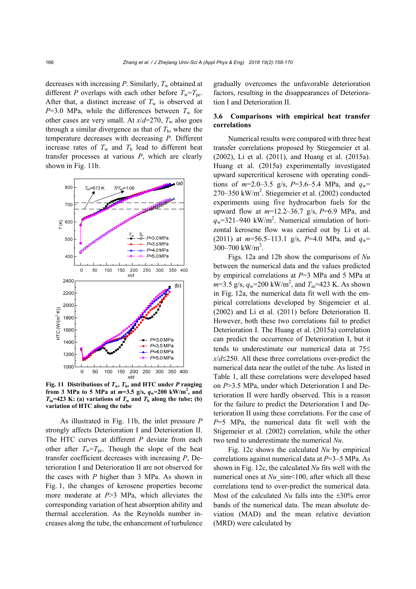decreases with increasing *P*. Similarly,  $T_w$  obtained at different *P* overlaps with each other before  $T_w = T_{pc}$ . After that, a distinct increase of  $T_w$  is observed at  $P=3.0$  MPa, while the differences between  $T_w$  for other cases are very small. At  $x/d=270$ ,  $T_w$  also goes through a similar divergence as that of  $T<sub>b</sub>$ , where the temperature decreases with decreasing *P*. Different increase rates of  $T_w$  and  $T_b$  lead to different heat transfer processes at various *P*, which are clearly shown in Fig. 11b.



**Fig. 11 Distributions of**  $T_w$ **,**  $T_b$ **, and HTC under** *P* **ranging from 3 MPa to 5 MPa at**  $m=3.5$  **g/s,**  $q_w=200$  **kW/m<sup>2</sup>, and**  $T_{in}$ =423 K: (a) variations of  $T_w$  and  $T_b$  along the tube; (b)

As illustrated in Fig. 11b, the inlet pressure *P* strongly affects Deterioration I and Deterioration II. The HTC curves at different *P* deviate from each other after  $T_w = T_{nc}$ . Though the slope of the heat transfer coefficient decreases with increasing *P*, Deterioration I and Deterioration II are not observed for the cases with *P* higher than 3 MPa. As shown in Fig. 1, the changes of kerosene properties become more moderate at *P*>3 MPa, which alleviates the corresponding variation of heat absorption ability and thermal acceleration. As the Reynolds number increases along the tube, the enhancement of turbulence gradually overcomes the unfavorable deterioration factors, resulting in the disappearances of Deterioration I and Deterioration II.

## **3.6 Comparisons with empirical heat transfer correlations**

Numerical results were compared with three heat transfer correlations proposed by Stiegemeier et al. (2002), Li et al. (2011), and Huang et al. (2015a). Huang et al. (2015a) experimentally investigated upward supercritical kerosene with operating conditions of  $m=2.0-3.5$  g/s,  $P=3.6-5.4$  MPa, and  $q_w=$ 270–350 kW/m<sup>2</sup>. Stiegemeier et al. (2002) conducted experiments using five hydrocarbon fuels for the upward flow at *m*=12.2–36.7 g/s, *P*=6.9 MPa, and  $q_w$ =321–940 kW/m<sup>2</sup>. Numerical simulation of horizontal kerosene flow was carried out by Li et al. (2011) at  $m=56.5-113.1$  g/s,  $P=4.0$  MPa, and  $q_w=$  $300 - 700$  kW/m<sup>2</sup>.

Figs. 12a and 12b show the comparisons of *Nu* between the numerical data and the values predicted by empirical correlations at *P*=3 MPa and 5 MPa at  $m=3.5 \text{ g/s}, q_{w}=200 \text{ kW/m}^2, \text{ and } T_{in}=423 \text{ K}.$  As shown in Fig. 12a, the numerical data fit well with the empirical correlations developed by Stigemeier et al. (2002) and Li et al. (2011) before Deterioration II. However, both these two correlations fail to predict Deterioration I. The Huang et al. (2015a) correlation can predict the occurrence of Deterioration I, but it tends to underestimate our numerical data at 75 *x*/*d*250. All these three correlations over-predict the numerical data near the outlet of the tube. As listed in Table 1, all these correlations were developed based on *P*>3.5 MPa, under which Deterioration I and Deterioration II were hardly observed. This is a reason for the failure to predict the Deterioration I and Deterioration II using these correlations. For the case of *P*=5 MPa, the numerical data fit well with the Stigemeier et al. (2002) correlation, while the other two tend to underestimate the numerical *Nu*.

Fig. 12c shows the calculated *Nu* by empirical correlations against numerical data at *P*=3–5 MPa. As shown in Fig. 12c, the calculated *Nu* fits well with the numerical ones at *Nu* sim<100, after which all these correlations tend to over-predict the numerical data. Most of the calculated  $Nu$  falls into the  $\pm 30\%$  error bands of the numerical data. The mean absolute deviation (MAD) and the mean relative deviation (MRD) were calculated by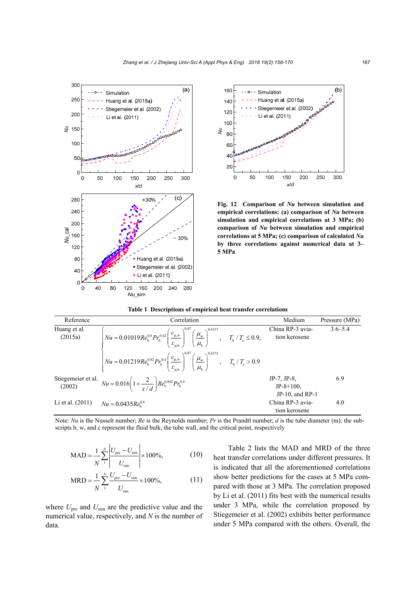



**Fig. 12 Comparison of** *Nu* **between simulation and empirical correlations: (a) comparison of** *Nu* **between simulation and empirical correlations at 3 MPa; (b) comparison of** *Nu* **between simulation and empirical correlations at 5 MPa; (c) comparison of calculated** *Nu* **by three correlations against numerical data at 3– 5 MPa** 

|  | Table 1 Descriptions of empirical heat transfer correlations |
|--|--------------------------------------------------------------|
|  |                                                              |

| Reference               | Correlation                                                                                                                                                            | Medium                                              | Pressure (MPa) |
|-------------------------|------------------------------------------------------------------------------------------------------------------------------------------------------------------------|-----------------------------------------------------|----------------|
| Huang et al.<br>(2015a) | $\left  Nu = 0.01019Re_b^{0.9}Pr_b^{0.42} \left( \frac{c_{p,w}}{c_{p,h}} \right)^{0.87} \left( \frac{\mu_w}{\mu_h} \right)^{0.4137}, \quad T_b / T_c \le 0.9, \right.$ | China RP-3 avia-<br>tion kerosene                   | $3.6 - 5.4$    |
|                         | $N u = 0.01219 Re_b^{0.92} Pr_b^{0.4} \left(\frac{c_{p,w}}{c_{p,h}}\right)^{0.87} \left(\frac{\mu_w}{\mu_h}\right)^{0.4372}, T_b / T_c > 0.9$                          |                                                     |                |
|                         | Stiegemeier et al. $Nu = 0.016 \left(1 + \frac{2}{r/d}\right) Re_b^{0.862} Pr_b^{0.4}$                                                                                 | JP-7. JP-8.<br>$JP-8+100$ ,<br>$JP-10$ , and $RP-1$ | 6.9            |
| Li et al. $(2011)$      | $Nu = 0.0435Re_{h}^{0.8}$                                                                                                                                              | China RP-3 avia-<br>tion kerosene                   | 4.0            |

 Note: *Nu* is the Nusselt number; *Re* is the Reynolds number; *Pr* is the Prandtl number; *d* is the tube diameter (m); the subscripts b, w, and c represent the fluid bulk, the tube wall, and the critical point, respectively

$$
MAD = \frac{1}{N} \sum_{1}^{N} \left| \frac{U_{\text{pre}} - U_{\text{sim}}}{U_{\text{sim}}} \right| \times 100\%,
$$
 (10)

MRD = 
$$
\frac{1}{N} \sum_{1}^{N} \frac{U_{\text{pre}} - U_{\text{sim}}}{U_{\text{sim}}} \times 100\%,
$$
 (11)

where  $U_{\text{pre}}$  and  $U_{\text{sim}}$  are the predictive value and the numerical value, respectively, and *N* is the number of data.

Table 2 lists the MAD and MRD of the three heat transfer correlations under different pressures. It is indicated that all the aforementioned correlations show better predictions for the cases at 5 MPa compared with those at 3 MPa. The correlation proposed by Li et al. (2011) fits best with the numerical results under 3 MPa, while the correlation proposed by Stiegemeier et al. (2002) exhibits better performance under 5 MPa compared with the others. Overall, the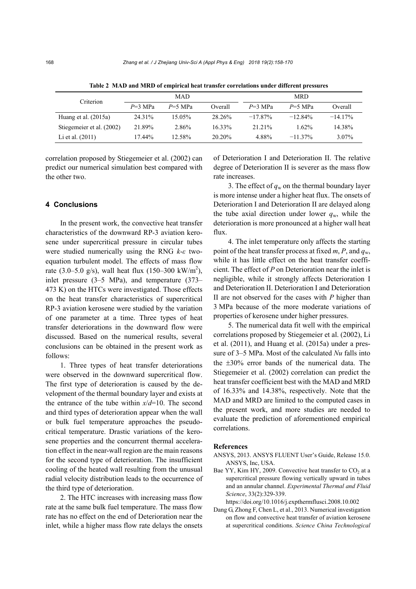| Criterion                 |           | MAD       |           |            | <b>MRD</b> |            |
|---------------------------|-----------|-----------|-----------|------------|------------|------------|
|                           | $P=3$ MPa | $P=5$ MPa | Overall   | $P=3$ MPa  | $P=5$ MPa  | Overall    |
| Huang et al. $(2015a)$    | 24.31%    | 15.05%    | 28.26%    | $-17.87\%$ | $-12.84\%$ | $-14.17\%$ |
| Stiegemeier et al. (2002) | 21.89%    | 2.86%     | $16.33\%$ | 21.21%     | $1.62\%$   | 14.38%     |
| Li et al. $(2011)$        | 17.44%    | 12.58%    | $20.20\%$ | 4 8 8 %    | $-11.37\%$ | $3.07\%$   |

**Table 2 MAD and MRD of empirical heat transfer correlations under different pressures** 

correlation proposed by Stiegemeier et al. (2002) can predict our numerical simulation best compared with the other two.

## **4 Conclusions**

In the present work, the convective heat transfer characteristics of the downward RP-3 aviation kerosene under supercritical pressure in circular tubes were studied numerically using the RNG *k*-*ε* twoequation turbulent model. The effects of mass flow rate (3.0–5.0 g/s), wall heat flux (150–300 kW/m<sup>2</sup>), inlet pressure (3–5 MPa), and temperature (373– 473 K) on the HTCs were investigated. Those effects on the heat transfer characteristics of supercritical RP-3 aviation kerosene were studied by the variation of one parameter at a time. Three types of heat transfer deteriorations in the downward flow were discussed. Based on the numerical results, several conclusions can be obtained in the present work as follows:

1. Three types of heat transfer deteriorations were observed in the downward supercritical flow. The first type of deterioration is caused by the development of the thermal boundary layer and exists at the entrance of the tube within *x*/*d*=10. The second and third types of deterioration appear when the wall or bulk fuel temperature approaches the pseudocritical temperature. Drastic variations of the kerosene properties and the concurrent thermal acceleration effect in the near-wall region are the main reasons for the second type of deterioration. The insufficient cooling of the heated wall resulting from the unusual radial velocity distribution leads to the occurrence of the third type of deterioration.

2. The HTC increases with increasing mass flow rate at the same bulk fuel temperature. The mass flow rate has no effect on the end of Deterioration near the inlet, while a higher mass flow rate delays the onsets of Deterioration I and Deterioration II. The relative degree of Deterioration II is severer as the mass flow rate increases.

3. The effect of  $q_w$  on the thermal boundary layer is more intense under a higher heat flux. The onsets of Deterioration I and Deterioration II are delayed along the tube axial direction under lower  $q_w$ , while the deterioration is more pronounced at a higher wall heat flux.

4. The inlet temperature only affects the starting point of the heat transfer process at fixed *m*, *P*, and *q*w, while it has little effect on the heat transfer coefficient. The effect of *P* on Deterioration near the inlet is negligible, while it strongly affects Deterioration I and Deterioration II. Deterioration I and Deterioration II are not observed for the cases with *P* higher than 3 MPa because of the more moderate variations of properties of kerosene under higher pressures.

5. The numerical data fit well with the empirical correlations proposed by Stiegemeier et al. (2002), Li et al. (2011), and Huang et al. (2015a) under a pressure of 3–5 MPa. Most of the calculated *Nu* falls into the  $\pm 30\%$  error bands of the numerical data. The Stiegemeier et al. (2002) correlation can predict the heat transfer coefficient best with the MAD and MRD of 16.33% and 14.38%, respectively. Note that the MAD and MRD are limited to the computed cases in the present work, and more studies are needed to evaluate the prediction of aforementioned empirical correlations.

#### **References**

- ANSYS, 2013. ANSYS FLUENT User's Guide, Release 15.0. ANSYS, Inc, USA.
- Bae YY, Kim HY, 2009. Convective heat transfer to  $CO<sub>2</sub>$  at a supercritical pressure flowing vertically upward in tubes and an annular channel. *Experimental Thermal and Fluid Science*, 33(2):329-339.
	- https://doi.org/10.1016/j.expthermflusci.2008.10.002
- Dang G, Zhong F, Chen L, et al., 2013. Numerical investigation on flow and convective heat transfer of aviation kerosene at supercritical conditions. *Science China Technological*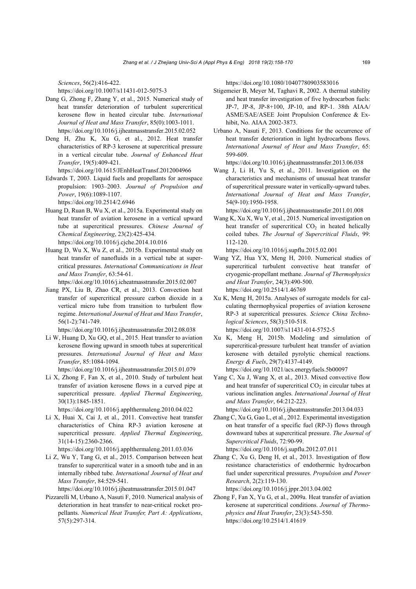*Sciences*, 56(2):416-422.

https://doi.org/10.1007/s11431-012-5075-3

- Dang G, Zhong F, Zhang Y, et al., 2015. Numerical study of heat transfer deterioration of turbulent supercritical kerosene flow in heated circular tube. *International Journal of Heat and Mass Transfer*, 85(0):1003-1011. https://doi.org/10.1016/j.ijheatmasstransfer.2015.02.052
- Deng H, Zhu K, Xu G, et al., 2012. Heat transfer characteristics of RP-3 kerosene at supercritical pressure in a vertical circular tube. *Journal of Enhanced Heat Transfer*, 19(5):409-421.

https://doi.org/10.1615/JEnhHeatTransf.2012004966

- Edwards T, 2003. Liquid fuels and propellants for aerospace propulsion: 1903–2003. *Journal of Propulsion and Power*, 19(6):1089-1107. https://doi.org/10.2514/2.6946
- Huang D, Ruan B, Wu X, et al., 2015a. Experimental study on heat transfer of aviation kerosene in a vertical upward tube at supercritical pressures. *Chinese Journal of Chemical Engineering*, 23(2):425-434. https://doi.org/10.1016/j.cjche.2014.10.016
- Huang D, Wu X, Wu Z, et al., 2015b. Experimental study on heat transfer of nanofluids in a vertical tube at supercritical pressures. *International Communications in Heat and Mass Transfer*, 63:54-61.

https://doi.org/10.1016/j.icheatmasstransfer.2015.02.007

Jiang PX, Liu B, Zhao CR, et al., 2013. Convection heat transfer of supercritical pressure carbon dioxide in a vertical micro tube from transition to turbulent flow regime. *International Journal of Heat and Mass Transfer*, 56(1-2):741-749.

https://doi.org/10.1016/j.ijheatmasstransfer.2012.08.038

Li W, Huang D, Xu GQ, et al., 2015. Heat transfer to aviation kerosene flowing upward in smooth tubes at supercritical pressures. *International Journal of Heat and Mass Transfer*, 85:1084-1094.

https://doi.org/10.1016/j.ijheatmasstransfer.2015.01.079

Li X, Zhong F, Fan X, et al., 2010. Study of turbulent heat transfer of aviation kerosene flows in a curved pipe at supercritical pressure. *Applied Thermal Engineering*, 30(13):1845-1851.

https://doi.org/10.1016/j.applthermaleng.2010.04.022

Li X, Huai X, Cai J, et al., 2011. Convective heat transfer characteristics of China RP-3 aviation kerosene at supercritical pressure. *Applied Thermal Engineering*, 31(14-15):2360-2366.

https://doi.org/10.1016/j.applthermaleng.2011.03.036

Li Z, Wu Y, Tang G, et al., 2015. Comparison between heat transfer to supercritical water in a smooth tube and in an internally ribbed tube. *International Journal of Heat and Mass Transfer*, 84:529-541.

https://doi.org/10.1016/j.ijheatmasstransfer.2015.01.047

Pizzarelli M, Urbano A, Nasuti F, 2010. Numerical analysis of deterioration in heat transfer to near-critical rocket propellants. *Numerical Heat Transfer, Part A: Applications*, 57(5):297-314.

https://doi.org/10.1080/10407780903583016

- Stigemeier B, Meyer M, Taghavi R, 2002. A thermal stability and heat transfer investigation of five hydrocarbon fuels: JP-7, JP-8, JP-8+100, JP-10, and RP-1. 38th AIAA/ ASME/SAE/ASEE Joint Propulsion Conference & Exhibit, No. AIAA 2002-3873.
- Urbano A, Nasuti F, 2013. Conditions for the occurrence of heat transfer deterioration in light hydrocarbons flows. *International Journal of Heat and Mass Transfer*, 65: 599-609.

https://doi.org/10.1016/j.ijheatmasstransfer.2013.06.038

Wang J, Li H, Yu S, et al., 2011. Investigation on the characteristics and mechanisms of unusual heat transfer of supercritical pressure water in vertically-upward tubes. *International Journal of Heat and Mass Transfer*, 54(9-10):1950-1958.

https://doi.org/10.1016/j.ijheatmasstransfer.2011.01.008

Wang K, Xu X, Wu Y, et al., 2015. Numerical investigation on heat transfer of supercritical  $CO<sub>2</sub>$  in heated helically coiled tubes. *The Journal of Supercritical Fluids*, 99: 112-120.

https://doi.org/10.1016/j.supflu.2015.02.001

- Wang YZ, Hua YX, Meng H, 2010. Numerical studies of supercritical turbulent convective heat transfer of cryogenic-propellant methane. *Journal of Thermophysics and Heat Transfer*, 24(3):490-500. https://doi.org/10.2514/1.46769
- Xu K, Meng H, 2015a. Analyses of surrogate models for calculating thermophysical properties of aviation kerosene RP-3 at supercritical pressures. *Science China Technological Sciences*, 58(3):510-518. https://doi.org/10.1007/s11431-014-5752-5
- Xu K, Meng H, 2015b. Modeling and simulation of supercritical-pressure turbulent heat transfer of aviation kerosene with detailed pyrolytic chemical reactions. *Energy & Fuels*, 29(7):4137-4149. https://doi.org/10.1021/acs.energyfuels.5b00097
- Yang C, Xu J, Wang X, et al., 2013. Mixed convective flow and heat transfer of supercritical  $CO<sub>2</sub>$  in circular tubes at various inclination angles. *International Journal of Heat and Mass Transfer*, 64:212-223.

https://doi.org/10.1016/j.ijheatmasstransfer.2013.04.033

Zhang C, Xu G, Gao L, et al., 2012. Experimental investigation on heat transfer of a specific fuel (RP-3) flows through downward tubes at supercritical pressure. *The Journal of Supercritical Fluids*, 72:90-99.

https://doi.org/10.1016/j.supflu.2012.07.011

Zhang C, Xu G, Deng H, et al., 2013. Investigation of flow resistance characteristics of endothermic hydrocarbon fuel under supercritical pressures. *Propulsion and Power Research*, 2(2):119-130.

https://doi.org/10.1016/j.jppr.2013.04.002

Zhong F, Fan X, Yu G, et al., 2009a. Heat transfer of aviation kerosene at supercritical conditions. *Journal of Thermophysics and Heat Transfer*, 23(3):543-550. https://doi.org/10.2514/1.41619